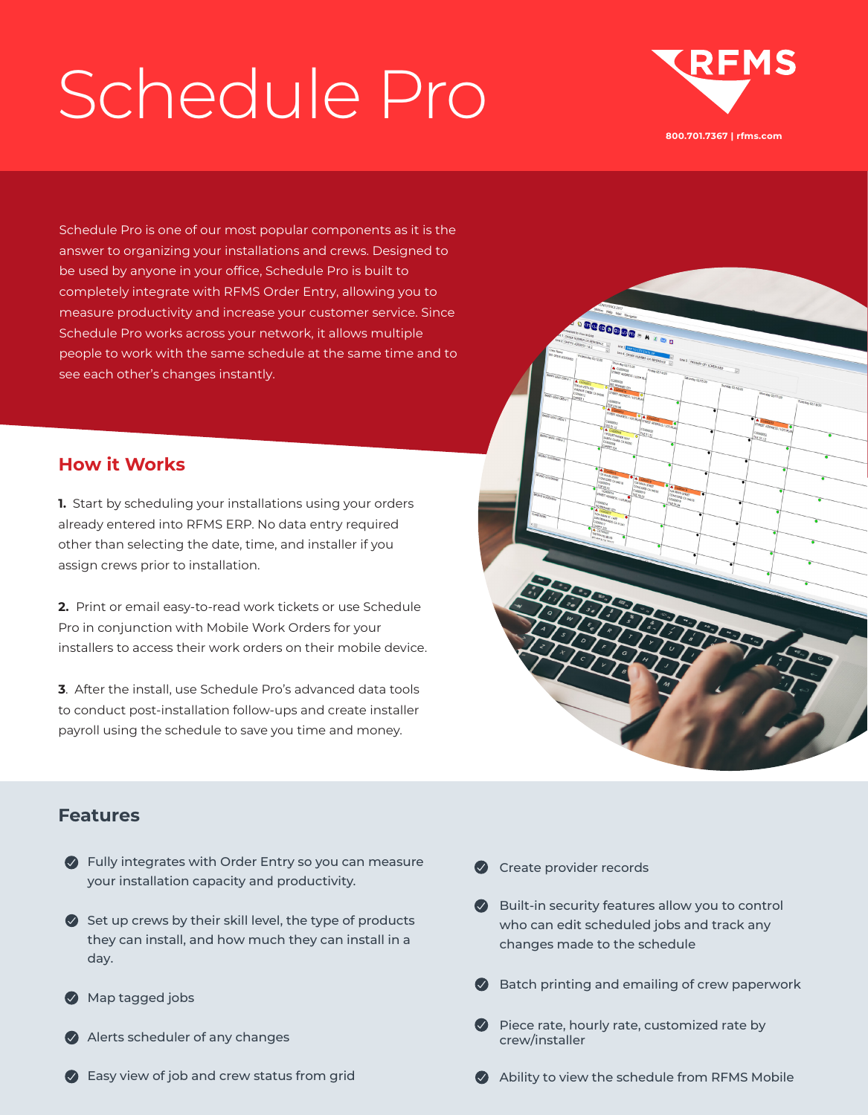# Schedule Pro



Schedule Pro is one of our most popular components as it is the answer to organizing your installations and crews. Designed to be used by anyone in your office, Schedule Pro is built to completely integrate with RFMS Order Entry, allowing you to measure productivity and increase your customer service. Since Schedule Pro works across your network, it allows multiple people to work with the same schedule at the same time and to see each other's changes instantly.

### **How it Works**

**1.** Start by scheduling your installations using your orders already entered into RFMS ERP. No data entry required other than selecting the date, time, and installer if you assign crews prior to installation.

**2.** Print or email easy-to-read work tickets or use Schedule Pro in conjunction with Mobile Work Orders for your installers to access their work orders on their mobile device.

**3**. After the install, use Schedule Pro's advanced data tools to conduct post-installation follow-ups and create installer payroll using the schedule to save you time and money.



#### **Features**

- Fully integrates with Order Entry so you can measure your installation capacity and productivity.
- $\bullet$  Set up crews by their skill level, the type of products they can install, and how much they can install in a day.
- **Map tagged jobs**
- Alerts scheduler of any changes
- **Easy view of job and crew status from grid**
- **C** Create provider records
- **Built-in security features allow you to control** who can edit scheduled jobs and track any changes made to the schedule
- Batch printing and emailing of crew paperwork
- $\vee$  Piece rate, hourly rate, customized rate by crew/installer
- Ability to view the schedule from RFMS Mobile